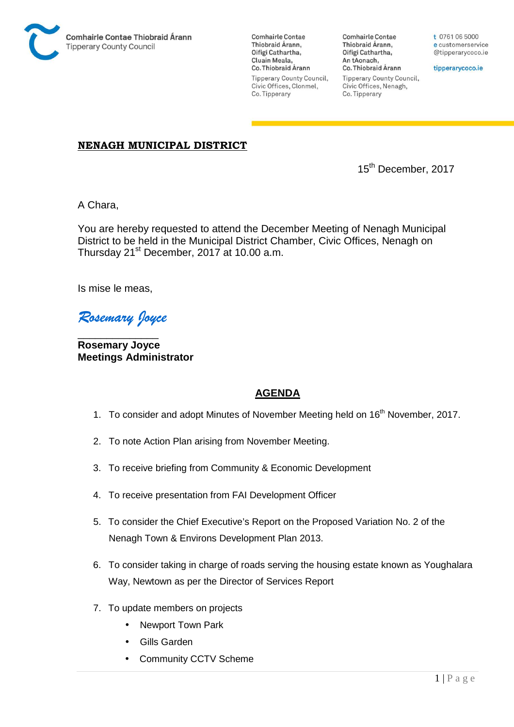

**Comhairle Contae** Thiobraid Árann. Oifigí Cathartha, Cluain Meala, Co. Thiobraid Árann Tipperary County Council, Civic Offices, Clonmel, Co. Tipperary

**Comhairle Contae** Thiobraid Árann, Oifigí Cathartha, An tAonach, Co. Thiobraid Árann **Tipperary County Council,** Civic Offices, Nenagh, Co. Tipperary

t 0761 06 5000 e customerservice @tipperarycoco.ie

tipperarycoco.ie

## **NENAGH MUNICIPAL DISTRICT**

15<sup>th</sup> December, 2017

A Chara,

You are hereby requested to attend the December Meeting of Nenagh Municipal District to be held in the Municipal District Chamber, Civic Offices, Nenagh on Thursday 21st December, 2017 at 10.00 a.m.

Is mise le meas,

*Rosemary Joyce* 

\_\_\_\_\_\_\_\_\_\_\_\_\_\_ **Rosemary Joyce Meetings Administrator** 

## **AGENDA**

- 1. To consider and adopt Minutes of November Meeting held on 16<sup>th</sup> November, 2017.
- 2. To note Action Plan arising from November Meeting.
- 3. To receive briefing from Community & Economic Development
- 4. To receive presentation from FAI Development Officer
- 5. To consider the Chief Executive's Report on the Proposed Variation No. 2 of the Nenagh Town & Environs Development Plan 2013.
- 6. To consider taking in charge of roads serving the housing estate known as Youghalara Way, Newtown as per the Director of Services Report
- 7. To update members on projects
	- Newport Town Park
	- Gills Garden
	- Community CCTV Scheme